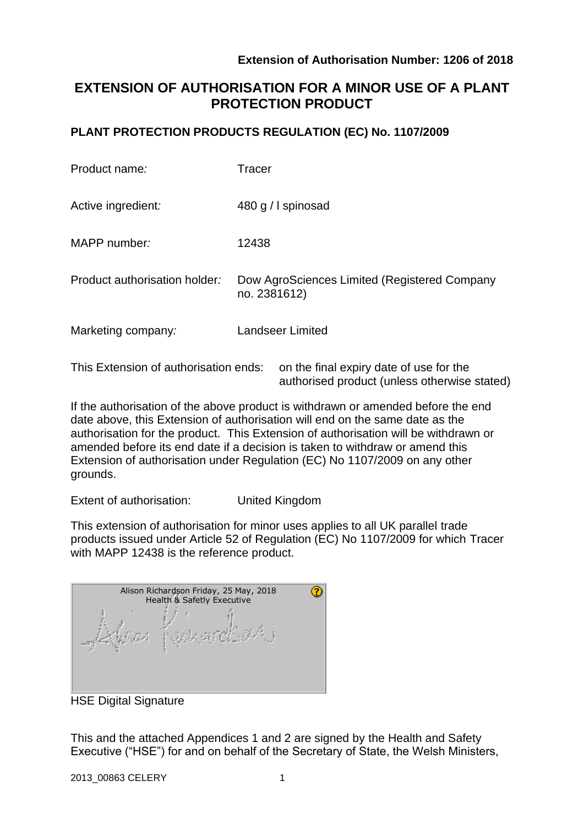authorised product (unless otherwise stated)

# **EXTENSION OF AUTHORISATION FOR A MINOR USE OF A PLANT PROTECTION PRODUCT**

### **PLANT PROTECTION PRODUCTS REGULATION (EC) No. 1107/2009**

| Product name:                         | <b>Tracer</b>                                                |
|---------------------------------------|--------------------------------------------------------------|
| Active ingredient:                    | 480 g / spinosad                                             |
| MAPP number:                          | 12438                                                        |
| Product authorisation holder:         | Dow AgroSciences Limited (Registered Company<br>no. 2381612) |
| Marketing company:                    | <b>Landseer Limited</b>                                      |
| This Extension of authorisation ends: | on the final expiry date of use for the                      |

If the authorisation of the above product is withdrawn or amended before the end date above, this Extension of authorisation will end on the same date as the authorisation for the product. This Extension of authorisation will be withdrawn or amended before its end date if a decision is taken to withdraw or amend this Extension of authorisation under Regulation (EC) No 1107/2009 on any other grounds.

Extent of authorisation: United Kingdom

This extension of authorisation for minor uses applies to all UK parallel trade products issued under Article 52 of Regulation (EC) No 1107/2009 for which Tracer with MAPP 12438 is the reference product.

| Alison Richardson Friday, 25 May, 2018<br>Health & Safetly Executive |  |
|----------------------------------------------------------------------|--|
|                                                                      |  |

HSE Digital Signature

This and the attached Appendices 1 and 2 are signed by the Health and Safety Executive ("HSE") for and on behalf of the Secretary of State, the Welsh Ministers,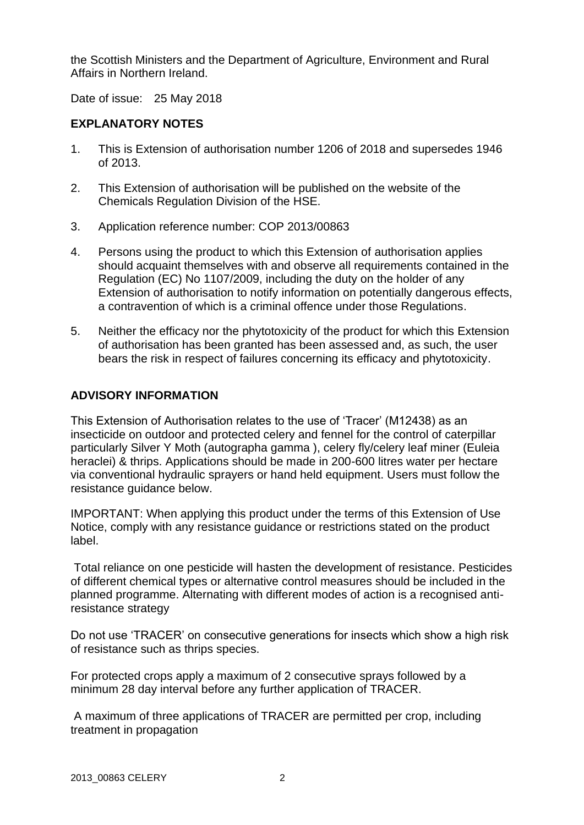the Scottish Ministers and the Department of Agriculture, Environment and Rural Affairs in Northern Ireland.

Date of issue: 25 May 2018

### **EXPLANATORY NOTES**

- 1. This is Extension of authorisation number 1206 of 2018 and supersedes 1946 of 2013.
- 2. This Extension of authorisation will be published on the website of the Chemicals Regulation Division of the HSE.
- 3. Application reference number: COP 2013/00863
- 4. Persons using the product to which this Extension of authorisation applies should acquaint themselves with and observe all requirements contained in the Regulation (EC) No 1107/2009, including the duty on the holder of any Extension of authorisation to notify information on potentially dangerous effects, a contravention of which is a criminal offence under those Regulations.
- 5. Neither the efficacy nor the phytotoxicity of the product for which this Extension of authorisation has been granted has been assessed and, as such, the user bears the risk in respect of failures concerning its efficacy and phytotoxicity.

### **ADVISORY INFORMATION**

This Extension of Authorisation relates to the use of 'Tracer' (M12438) as an insecticide on outdoor and protected celery and fennel for the control of caterpillar particularly Silver Y Moth (autographa gamma ), celery fly/celery leaf miner (Euleia heraclei) & thrips. Applications should be made in 200-600 litres water per hectare via conventional hydraulic sprayers or hand held equipment. Users must follow the resistance guidance below.

IMPORTANT: When applying this product under the terms of this Extension of Use Notice, comply with any resistance guidance or restrictions stated on the product label.

Total reliance on one pesticide will hasten the development of resistance. Pesticides of different chemical types or alternative control measures should be included in the planned programme. Alternating with different modes of action is a recognised antiresistance strategy

Do not use 'TRACER' on consecutive generations for insects which show a high risk of resistance such as thrips species.

For protected crops apply a maximum of 2 consecutive sprays followed by a minimum 28 day interval before any further application of TRACER.

A maximum of three applications of TRACER are permitted per crop, including treatment in propagation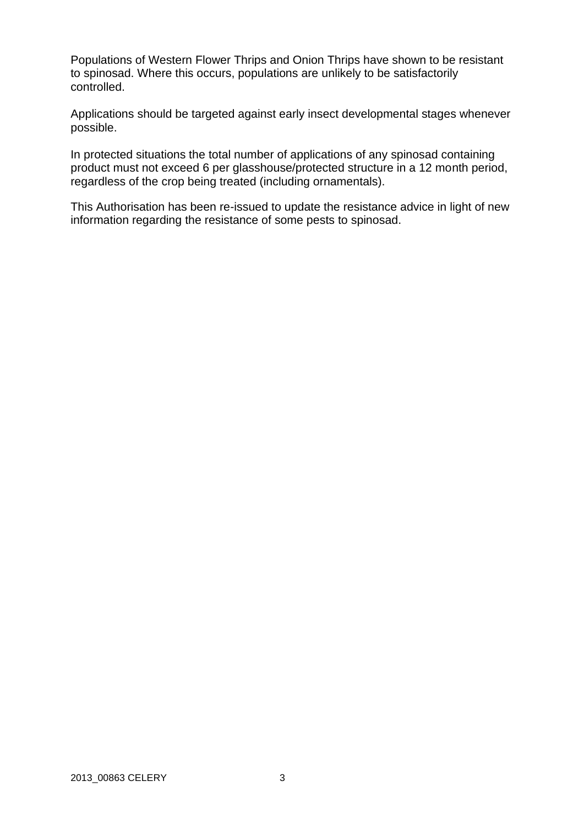Populations of Western Flower Thrips and Onion Thrips have shown to be resistant to spinosad. Where this occurs, populations are unlikely to be satisfactorily controlled.

Applications should be targeted against early insect developmental stages whenever possible.

In protected situations the total number of applications of any spinosad containing product must not exceed 6 per glasshouse/protected structure in a 12 month period, regardless of the crop being treated (including ornamentals).

This Authorisation has been re-issued to update the resistance advice in light of new information regarding the resistance of some pests to spinosad.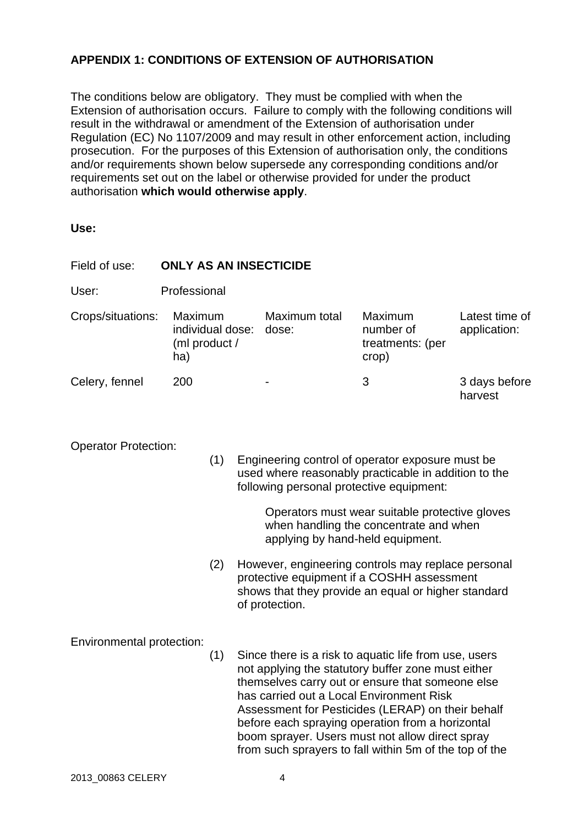## **APPENDIX 1: CONDITIONS OF EXTENSION OF AUTHORISATION**

The conditions below are obligatory. They must be complied with when the Extension of authorisation occurs. Failure to comply with the following conditions will result in the withdrawal or amendment of the Extension of authorisation under Regulation (EC) No 1107/2009 and may result in other enforcement action, including prosecution. For the purposes of this Extension of authorisation only, the conditions and/or requirements shown below supersede any corresponding conditions and/or requirements set out on the label or otherwise provided for under the product authorisation **which would otherwise apply**.

**Use:**

| Field of use:                                                                                                                                                                                                                                | <b>ONLY AS AN INSECTICIDE</b>                                              |     |                                                                                                                                                                                                                                                                                                                                                                                                                                   |                        |                                                   |                                |  |  |
|----------------------------------------------------------------------------------------------------------------------------------------------------------------------------------------------------------------------------------------------|----------------------------------------------------------------------------|-----|-----------------------------------------------------------------------------------------------------------------------------------------------------------------------------------------------------------------------------------------------------------------------------------------------------------------------------------------------------------------------------------------------------------------------------------|------------------------|---------------------------------------------------|--------------------------------|--|--|
| User:                                                                                                                                                                                                                                        | Professional                                                               |     |                                                                                                                                                                                                                                                                                                                                                                                                                                   |                        |                                                   |                                |  |  |
| Crops/situations:                                                                                                                                                                                                                            | Maximum<br>individual dose:<br>(ml product /<br>ha)                        |     |                                                                                                                                                                                                                                                                                                                                                                                                                                   | Maximum total<br>dose: | Maximum<br>number of<br>treatments: (per<br>crop) | Latest time of<br>application: |  |  |
| Celery, fennel                                                                                                                                                                                                                               | 200                                                                        |     |                                                                                                                                                                                                                                                                                                                                                                                                                                   |                        | 3                                                 | 3 days before<br>harvest       |  |  |
| <b>Operator Protection:</b><br>(1)<br>Engineering control of operator exposure must be<br>used where reasonably practicable in addition to the<br>following personal protective equipment:<br>Operators must wear suitable protective gloves |                                                                            |     |                                                                                                                                                                                                                                                                                                                                                                                                                                   |                        |                                                   |                                |  |  |
|                                                                                                                                                                                                                                              | when handling the concentrate and when<br>applying by hand-held equipment. |     |                                                                                                                                                                                                                                                                                                                                                                                                                                   |                        |                                                   |                                |  |  |
|                                                                                                                                                                                                                                              |                                                                            | (2) | However, engineering controls may replace personal<br>protective equipment if a COSHH assessment<br>shows that they provide an equal or higher standard<br>of protection.                                                                                                                                                                                                                                                         |                        |                                                   |                                |  |  |
| Environmental protection:<br>(1)                                                                                                                                                                                                             |                                                                            |     | Since there is a risk to aquatic life from use, users<br>not applying the statutory buffer zone must either<br>themselves carry out or ensure that someone else<br>has carried out a Local Environment Risk<br>Assessment for Pesticides (LERAP) on their behalf<br>before each spraying operation from a horizontal<br>boom sprayer. Users must not allow direct spray<br>from such sprayers to fall within 5m of the top of the |                        |                                                   |                                |  |  |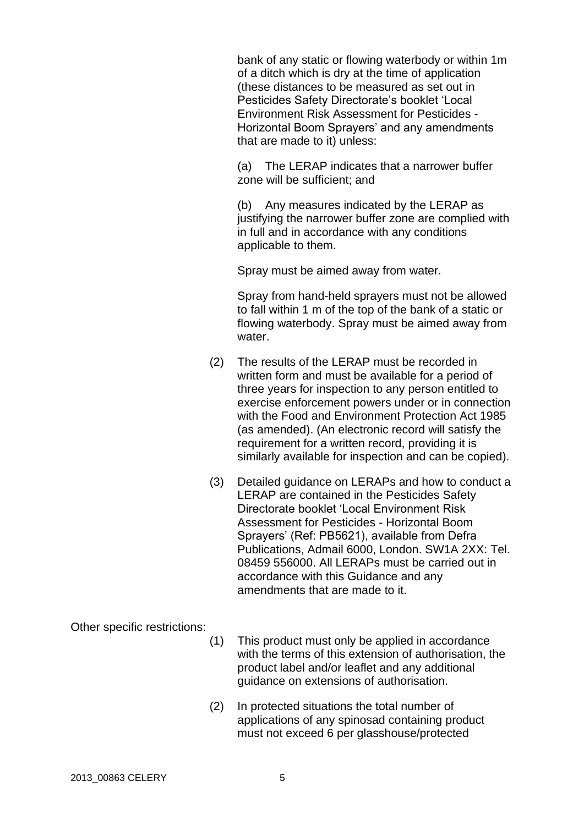bank of any static or flowing waterbody or within 1m of a ditch which is dry at the time of application (these distances to be measured as set out in Pesticides Safety Directorate's booklet 'Local Environment Risk Assessment for Pesticides - Horizontal Boom Sprayers' and any amendments that are made to it) unless:

(a) The LERAP indicates that a narrower buffer zone will be sufficient; and

(b) Any measures indicated by the LERAP as justifying the narrower buffer zone are complied with in full and in accordance with any conditions applicable to them.

Spray must be aimed away from water.

Spray from hand-held sprayers must not be allowed to fall within 1 m of the top of the bank of a static or flowing waterbody. Spray must be aimed away from water.

- (2) The results of the LERAP must be recorded in written form and must be available for a period of three years for inspection to any person entitled to exercise enforcement powers under or in connection with the Food and Environment Protection Act 1985 (as amended). (An electronic record will satisfy the requirement for a written record, providing it is similarly available for inspection and can be copied).
- (3) Detailed guidance on LERAPs and how to conduct a LERAP are contained in the Pesticides Safety Directorate booklet 'Local Environment Risk Assessment for Pesticides - Horizontal Boom Sprayers' (Ref: PB5621), available from Defra Publications, Admail 6000, London. SW1A 2XX: Tel. 08459 556000. All LERAPs must be carried out in accordance with this Guidance and any amendments that are made to it.

Other specific restrictions:

- (1) This product must only be applied in accordance with the terms of this extension of authorisation, the product label and/or leaflet and any additional guidance on extensions of authorisation.
- (2) In protected situations the total number of applications of any spinosad containing product must not exceed 6 per glasshouse/protected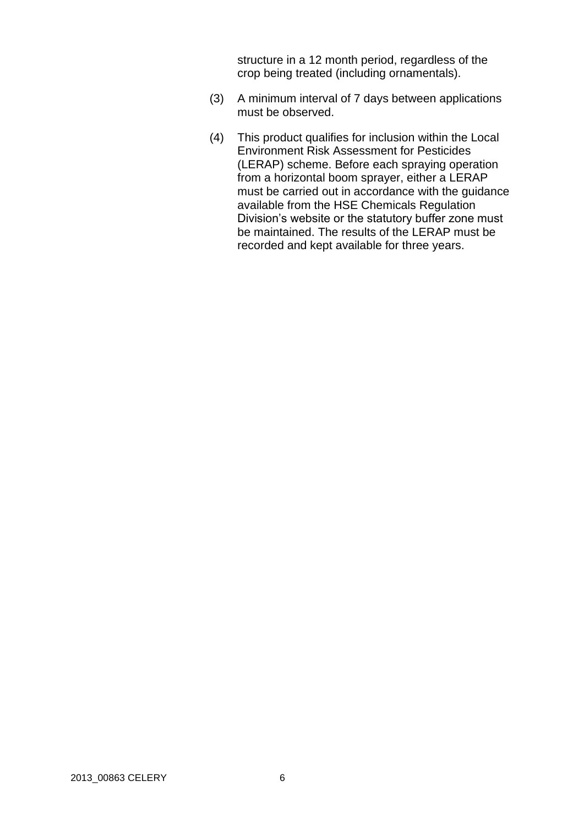structure in a 12 month period, regardless of the crop being treated (including ornamentals).

- (3) A minimum interval of 7 days between applications must be observed.
- (4) This product qualifies for inclusion within the Local Environment Risk Assessment for Pesticides (LERAP) scheme. Before each spraying operation from a horizontal boom sprayer, either a LERAP must be carried out in accordance with the guidance available from the HSE Chemicals Regulation Division's website or the statutory buffer zone must be maintained. The results of the LERAP must be recorded and kept available for three years.